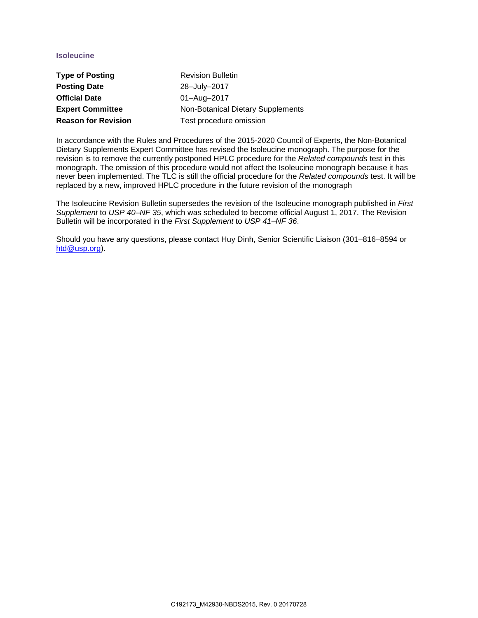## **Isoleucine**

| <b>Type of Posting</b>     | <b>Revision Bulletin</b>          |
|----------------------------|-----------------------------------|
| <b>Posting Date</b>        | 28-July-2017                      |
| <b>Official Date</b>       | 01-Aug-2017                       |
| <b>Expert Committee</b>    | Non-Botanical Dietary Supplements |
| <b>Reason for Revision</b> | Test procedure omission           |

In accordance with the Rules and Procedures of the 2015-2020 Council of Experts, the Non-Botanical Dietary Supplements Expert Committee has revised the Isoleucine monograph. The purpose for the revision is to remove the currently postponed HPLC procedure for the *Related compounds* test in this monograph. The omission of this procedure would not affect the Isoleucine monograph because it has never been implemented. The TLC is still the official procedure for the *Related compounds* test. It will be replaced by a new, improved HPLC procedure in the future revision of the monograph

The Isoleucine Revision Bulletin supersedes the revision of the Isoleucine monograph published in *First Supplement* to *USP 40–NF 35*, which was scheduled to become official August 1, 2017. The Revision Bulletin will be incorporated in the *First Supplement* to *USP 41–NF 36*.

Should you have any questions, please contact Huy Dinh, Senior Scientific Liaison (301–816–8594 or [htd@usp.org\)](mailto:htd@usp.org).